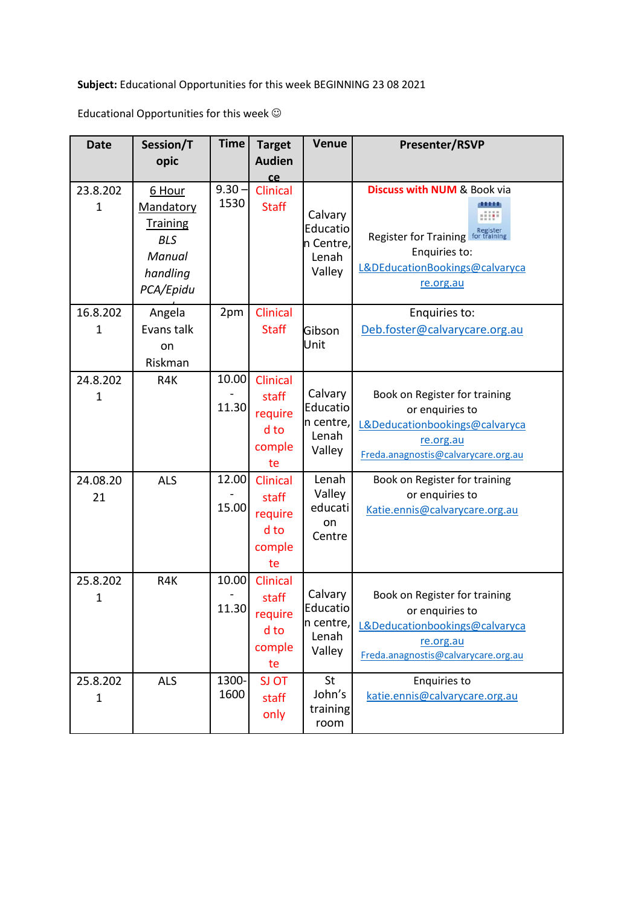**Subject:** Educational Opportunities for this week BEGINNING 23 08 2021

Educational Opportunities for this week  $\odot$ 

| <b>Date</b>              | Session/T<br>opic                                                                       | <b>Time</b>      | <b>Target</b><br><b>Audien</b>                              | <b>Venue</b>                                        | <b>Presenter/RSVP</b>                                                                                                                                         |
|--------------------------|-----------------------------------------------------------------------------------------|------------------|-------------------------------------------------------------|-----------------------------------------------------|---------------------------------------------------------------------------------------------------------------------------------------------------------------|
| 23.8.202<br>$\mathbf 1$  | 6 Hour<br>Mandatory<br><b>Training</b><br><b>BLS</b><br>Manual<br>handling<br>PCA/Epidu | $9.30 -$<br>1530 | ce<br>Clinical<br><b>Staff</b>                              | Calvary<br>Educatio<br>n Centre,<br>Lenah<br>Valley | <b>Discuss with NUM &amp; Book via</b><br>Register<br><b>Register for Training</b><br>for tra<br>Enquiries to:<br>L&DEducationBookings@calvaryca<br>re.org.au |
| 16.8.202<br>$\mathbf 1$  | Angela<br>Evans talk<br>on<br>Riskman                                                   | 2pm              | <b>Clinical</b><br><b>Staff</b>                             | Gibson<br>Unit                                      | Enquiries to:<br>Deb.foster@calvarycare.org.au                                                                                                                |
| 24.8.202<br>1            | R4K                                                                                     | 10.00<br>11.30   | <b>Clinical</b><br>staff<br>require<br>d to<br>comple<br>te | Calvary<br>Educatio<br>n centre,<br>Lenah<br>Valley | Book on Register for training<br>or enquiries to<br>L&Deducationbookings@calvaryca<br>re.org.au<br>Freda.anagnostis@calvarycare.org.au                        |
| 24.08.20<br>21           | <b>ALS</b>                                                                              | 12.00<br>15.00   | Clinical<br>staff<br>require<br>d to<br>comple<br>te        | Lenah<br>Valley<br>educati<br>on<br>Centre          | Book on Register for training<br>or enquiries to<br>Katie.ennis@calvarycare.org.au                                                                            |
| 25.8.202<br>1            | R4K                                                                                     | 10.00<br>11.30   | Clinical<br>staff<br>require<br>d to<br>comple<br>te        | Calvary<br>Educatio<br>n centre,<br>Lenah<br>Valley | Book on Register for training<br>or enquiries to<br>L&Deducationbookings@calvaryca<br>re.org.au<br>Freda.anagnostis@calvarycare.org.au                        |
| 25.8.202<br>$\mathbf{1}$ | <b>ALS</b>                                                                              | 1300-<br>1600    | <b>SJ OT</b><br>staff<br>only                               | St<br>John's<br>training<br>room                    | Enquiries to<br>katie.ennis@calvarycare.org.au                                                                                                                |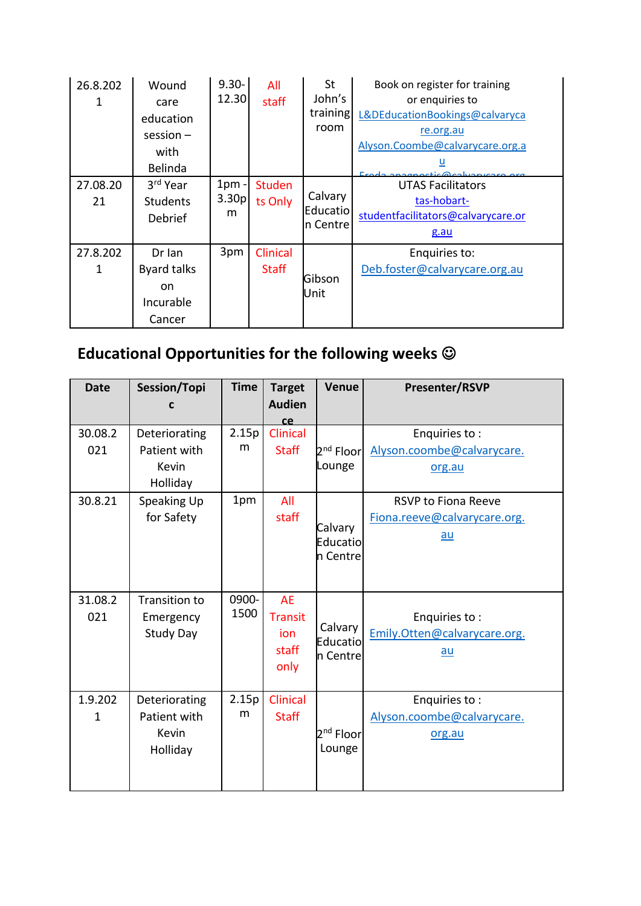| 26.8.202<br>1  | Wound<br>care<br>education<br>$session -$<br>with<br>Belinda         | $9.30 -$<br>12.30             | All<br>staff             | St<br>John's<br>training<br>room | Book on register for training<br>or enquiries to<br>L&DEducationBookings@calvaryca<br>re.org.au<br>Alyson.Coombe@calvarycare.org.a<br><u>u</u><br>Erada anagpactic@caluanicara arg |
|----------------|----------------------------------------------------------------------|-------------------------------|--------------------------|----------------------------------|------------------------------------------------------------------------------------------------------------------------------------------------------------------------------------|
| 27.08.20<br>21 | 3rd Year<br><b>Students</b><br>Debrief                               | 1 <sub>pm</sub><br>3.30p<br>m | <b>Studen</b><br>ts Only | Calvary<br>Educatio<br>n Centre  | <b>UTAS Facilitators</b><br>tas-hobart-<br>studentfacilitators@calvarycare.or<br>g.au                                                                                              |
| 27.8.202<br>1  | Dr Ian<br><b>Byard talks</b><br><sub>on</sub><br>Incurable<br>Cancer | 3pm                           | Clinical<br><b>Staff</b> | Gibson<br>Unit                   | Enquiries to:<br>Deb.foster@calvarycare.org.au                                                                                                                                     |

## **Educational Opportunities for the following weeks**

| <b>Date</b>    | Session/Topi                                       | <b>Time</b>   | <b>Target</b>                                       | <b>Venue</b>                    | Presenter/RSVP                                                     |
|----------------|----------------------------------------------------|---------------|-----------------------------------------------------|---------------------------------|--------------------------------------------------------------------|
|                | C                                                  |               | <b>Audien</b><br>ce                                 |                                 |                                                                    |
| 30.08.2<br>021 | Deteriorating<br>Patient with<br>Kevin<br>Holliday | 2.15p<br>m    | <b>Clinical</b><br><b>Staff</b>                     | 2 <sup>nd</sup> Floor<br>Lounge | Enquiries to:<br>Alyson.coombe@calvarycare.<br>org.au              |
| 30.8.21        | Speaking Up<br>for Safety                          | 1pm           | All<br>staff                                        | Calvary<br>Educatio<br>n Centre | <b>RSVP to Fiona Reeve</b><br>Fiona.reeve@calvarycare.org.<br>$au$ |
| 31.08.2<br>021 | Transition to<br>Emergency<br><b>Study Day</b>     | 0900-<br>1500 | <b>AE</b><br><b>Transit</b><br>ion<br>staff<br>only | Calvary<br>Educatio<br>n Centre | Enquiries to:<br>Emily.Otten@calvarycare.org.<br>$au$              |
| 1.9.202<br>1   | Deteriorating<br>Patient with<br>Kevin<br>Holliday | 2.15p<br>m    | Clinical<br><b>Staff</b>                            | 2 <sup>nd</sup> Floor<br>Lounge | Enquiries to:<br>Alyson.coombe@calvarycare.<br>org.au              |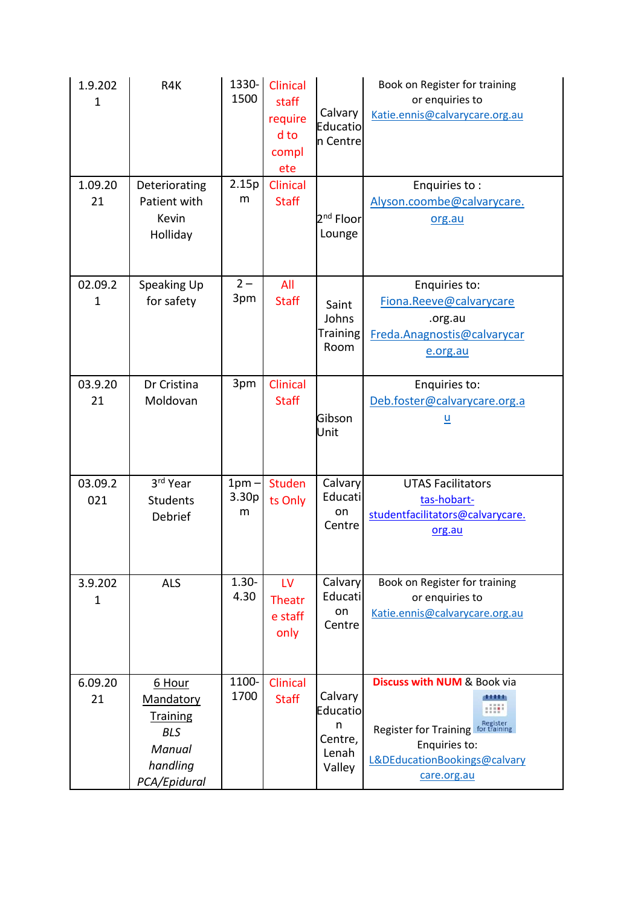| 1.9.202<br>$\mathbf{1}$ | R4K                                                                                        | $1330 -$<br>1500      | Clinical<br>staff<br>require<br>d to<br>compl<br>ete | Calvary<br>Educatio<br>n Centre                        | Book on Register for training<br>or enquiries to<br>Katie.ennis@calvarycare.org.au                                                                            |
|-------------------------|--------------------------------------------------------------------------------------------|-----------------------|------------------------------------------------------|--------------------------------------------------------|---------------------------------------------------------------------------------------------------------------------------------------------------------------|
| 1.09.20<br>21           | Deteriorating<br>Patient with<br>Kevin<br>Holliday                                         | 2.15p<br>m            | <b>Clinical</b><br><b>Staff</b>                      | 2 <sup>nd</sup> Floor<br>Lounge                        | Enquiries to:<br>Alyson.coombe@calvarycare.<br>org.au                                                                                                         |
| 02.09.2<br>$\mathbf{1}$ | Speaking Up<br>for safety                                                                  | $2 -$<br>3pm          | All<br><b>Staff</b>                                  | Saint<br>Johns<br><b>Training</b><br>Room              | Enquiries to:<br>Fiona.Reeve@calvarycare<br>.org.au<br>Freda.Anagnostis@calvarycar<br>e.org.au                                                                |
| 03.9.20<br>21           | Dr Cristina<br>Moldovan                                                                    | 3pm                   | Clinical<br><b>Staff</b>                             | Gibson<br>Unit                                         | Enquiries to:<br>Deb.foster@calvarycare.org.a<br><u>ប</u>                                                                                                     |
| 03.09.2<br>021          | 3rd Year<br><b>Students</b><br>Debrief                                                     | $1pm -$<br>3.30p<br>m | <b>Studen</b><br>ts Only                             | Calvary<br>Educati<br>on<br>Centre                     | <b>UTAS Facilitators</b><br>tas-hobart-<br>studentfacilitators@calvarycare.<br>org.au                                                                         |
| 3.9.202<br>1            | <b>ALS</b>                                                                                 | $1.30 -$<br>4.30      | LV<br><b>Theatr</b><br>e staff<br>only               | Calvary<br>Educati<br>on<br>Centre                     | Book on Register for training<br>or enquiries to<br>Katie.ennis@calvarycare.org.au                                                                            |
| 6.09.20<br>21           | 6 Hour<br>Mandatory<br><b>Training</b><br><b>BLS</b><br>Manual<br>handling<br>PCA/Epidural | 1100-<br>1700         | <b>Clinical</b><br><b>Staff</b>                      | Calvary<br>Educatio<br>n<br>Centre,<br>Lenah<br>Valley | <b>Discuss with NUM &amp; Book via</b><br>m<br>Register<br>Register for Training for training<br>Enquiries to:<br>L&DEducationBookings@calvary<br>care.org.au |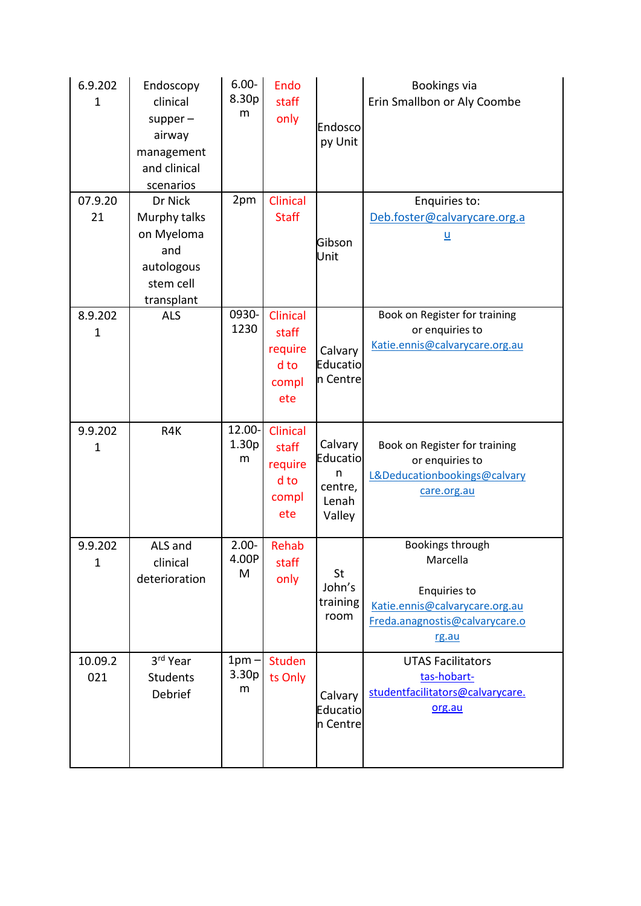| 6.9.202<br>$\mathbf 1$  | Endoscopy<br>clinical<br>$supper-$<br>airway<br>management<br>and clinical<br>scenarios | $6.00 -$<br>8.30p<br>m           | <b>Endo</b><br>staff<br>only                         | Endosco<br>py Unit                                     | Bookings via<br>Erin Smallbon or Aly Coombe                                                                               |
|-------------------------|-----------------------------------------------------------------------------------------|----------------------------------|------------------------------------------------------|--------------------------------------------------------|---------------------------------------------------------------------------------------------------------------------------|
| 07.9.20<br>21           | Dr Nick<br>Murphy talks<br>on Myeloma<br>and<br>autologous<br>stem cell<br>transplant   | 2pm                              | <b>Clinical</b><br><b>Staff</b>                      | Gibson<br>Unit                                         | Enquiries to:<br>Deb.foster@calvarycare.org.a<br><u>u</u>                                                                 |
| 8.9.202<br>$\mathbf{1}$ | <b>ALS</b>                                                                              | 0930-<br>1230                    | Clinical<br>staff<br>require<br>d to<br>compl<br>ete | Calvary<br>Educatio<br>n Centre                        | Book on Register for training<br>or enquiries to<br>Katie.ennis@calvarycare.org.au                                        |
| 9.9.202<br>$\mathbf 1$  | R4K                                                                                     | 12.00-<br>1.30 <sub>p</sub><br>m | Clinical<br>staff<br>require<br>d to<br>compl<br>ete | Calvary<br>Educatio<br>n<br>centre,<br>Lenah<br>Valley | Book on Register for training<br>or enquiries to<br>L&Deducationbookings@calvary<br>care.org.au                           |
| 9.9.202<br>$\mathbf 1$  | ALS and<br>clinical<br>deterioration                                                    | $2.00 -$<br>4.00P<br>M           | Rehab<br>staff<br>only                               | St<br>John's<br>training<br>room                       | Bookings through<br>Marcella<br>Enquiries to<br>Katie.ennis@calvarycare.org.au<br>Freda.anagnostis@calvarycare.o<br>rg.au |
| 10.09.2<br>021          | 3rd Year<br>Students<br>Debrief                                                         | $1pm -$<br>3.30p<br>m            | Studen<br>ts Only                                    | Calvary<br>Educatio<br>n Centre                        | <b>UTAS Facilitators</b><br>tas-hobart-<br>studentfacilitators@calvarycare.<br>org.au                                     |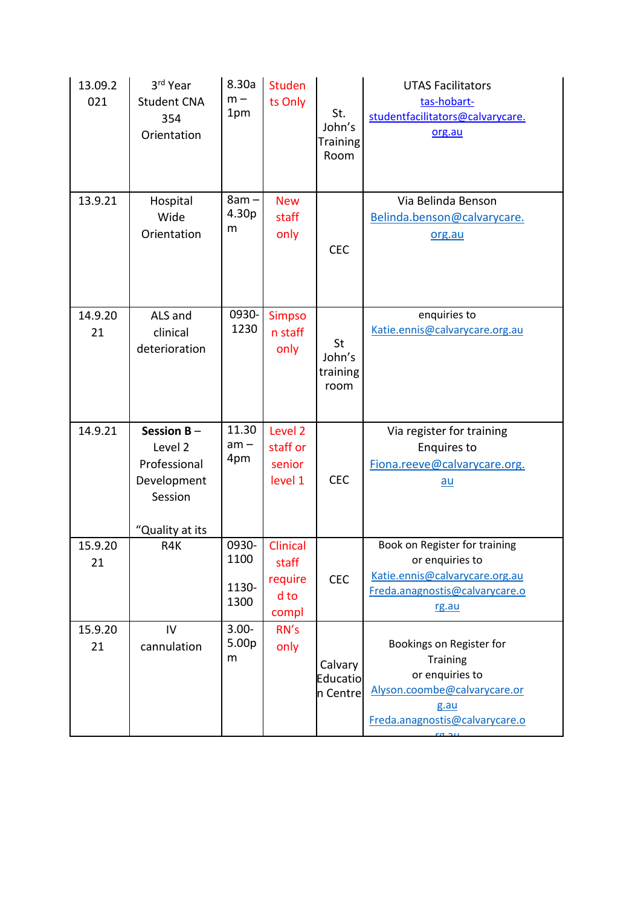| 13.09.2<br>021 | 3rd Year<br><b>Student CNA</b><br>354<br>Orientation                                  | 8.30a<br>$m -$<br>1pm          | <b>Studen</b><br>ts Only                             | St.<br>John's<br><b>Training</b><br>Room | <b>UTAS Facilitators</b><br>tas-hobart-<br>studentfacilitators@calvarycare.<br>org.au                                                                    |
|----------------|---------------------------------------------------------------------------------------|--------------------------------|------------------------------------------------------|------------------------------------------|----------------------------------------------------------------------------------------------------------------------------------------------------------|
| 13.9.21        | Hospital<br>Wide<br>Orientation                                                       | $8am -$<br>4.30p<br>m          | <b>New</b><br>staff<br>only                          | <b>CEC</b>                               | Via Belinda Benson<br>Belinda.benson@calvarycare.<br>org.au                                                                                              |
| 14.9.20<br>21  | ALS and<br>clinical<br>deterioration                                                  | 0930-<br>1230                  | <b>Simpso</b><br>n staff<br>only                     | St<br>John's<br>training<br>room         | enquiries to<br>Katie.ennis@calvarycare.org.au                                                                                                           |
| 14.9.21        | Session $B -$<br>Level 2<br>Professional<br>Development<br>Session<br>"Quality at its | 11.30<br>$am -$<br>4pm         | Level <sub>2</sub><br>staff or<br>senior<br>level 1  | <b>CEC</b>                               | Via register for training<br><b>Enquires to</b><br>Fiona.reeve@calvarycare.org.<br><u>au</u>                                                             |
| 15.9.20<br>21  | R4K                                                                                   | 0930-<br>1100<br>1130-<br>1300 | <b>Clinical</b><br>staff<br>require<br>d to<br>compl | <b>CEC</b>                               | Book on Register for training<br>or enquiries to<br>Katie.ennis@calvarycare.org.au<br>Freda.anagnostis@calvarycare.o<br>rg.au                            |
| 15.9.20<br>21  | IV<br>cannulation                                                                     | $3.00 -$<br>5.00p<br>m         | RN's<br>only                                         | Calvary<br>Educatio<br>n Centre          | Bookings on Register for<br>Training<br>or enquiries to<br>Alyson.coombe@calvarycare.or<br>g.au<br>Freda.anagnostis@calvarycare.o<br>$n \sigma$ $\gamma$ |